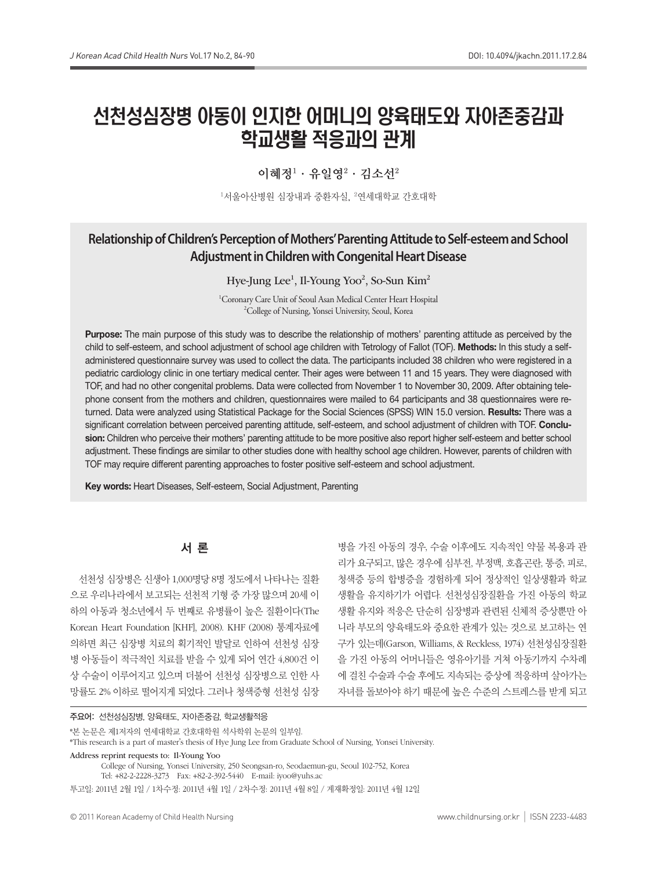# 선천성심장병 아동이 인지한 어머니의 양육태도와 자아존중감과 학교생활 적응과의 관계

# 이혜정 $^1$  · 유일영 $^2$  · 김소선 $^2$

1서울아산병원 심장내과 중환자실, <sup>2</sup>연세대학교 간호대학

# **Relationship of Children's Perception of Mothers' Parenting Attitude to Self-esteem and School Adjustment in Children with Congenital Heart Disease**

Hye-Jung Lee<sup>1</sup>, Il-Young Yoo<sup>2</sup>, So-Sun Kim<sup>2</sup>

<sup>1</sup>Coronary Care Unit of Seoul Asan Medical Center Heart Hospital <sup>2</sup>College of Nursing Yonsei University Seoul Korea <sup>2</sup>College of Nursing, Yonsei University, Seoul, Korea

Purpose: The main purpose of this study was to describe the relationship of mothers' parenting attitude as perceived by the child to self-esteem, and school adjustment of school age children with Tetrology of Fallot (TOF). Methods: In this study a selfadministered questionnaire survey was used to collect the data. The participants included 38 children who were registered in a pediatric cardiology clinic in one tertiary medical center. Their ages were between 11 and 15 years. They were diagnosed with TOF, and had no other congenital problems. Data were collected from November 1 to November 30, 2009. After obtaining telephone consent from the mothers and children, questionnaires were mailed to 64 participants and 38 questionnaires were returned. Data were analyzed using Statistical Package for the Social Sciences (SPSS) WIN 15.0 version. Results: There was a significant correlation between perceived parenting attitude, self-esteem, and school adjustment of children with TOF. Conclusion: Children who perceive their mothers' parenting attitude to be more positive also report higher self-esteem and better school adjustment. These findings are similar to other studies done with healthy school age children. However, parents of children with TOF may require different parenting approaches to foster positive self-esteem and school adjustment.

Key words: Heart Diseases, Self-esteem, Social Adjustment, Parenting

# 서 론

선천성 심장병은 신생아 1,000명당 8명 정도에서 나타나는 질환 으로 우리나라에서 보고되는 선천적 기형 중 가장 많으며 20세 이 하의 아동과 청소년에서 두 번째로 유병률이 높은 질환이다(The Korean Heart Foundation [KHF], 2008). KHF (2008) 통계자료에 의하면 최근 심장병 치료의 획기적인 발달로 인하여 선천성 심장 병 아동들이 적극적인 치료를 받을 수 있게 되어 연간 4,800건 이 상 수술이 이루어지고 있으며 더불어 선천성 심장병으로 인한 사 망률도 2% 이하로 떨어지게 되었다. 그러나 청색증형 선천성 심장

병을 가진 아동의 경우, 수술 이후에도 지속적인 약물 복용과 관 리가 요구되고, 많은 경우에 심부전, 부정맥, 호흡곤란, 통증, 피로, 청색증 등의 합병증을 경험하게 되어 정상적인 일상생활과 학교 생활을 유지하기가 어렵다. 선천성심장질환을 가진 아동의 학교 생활 유지와 적응은 단순히 심장병과 관련된 신체적 증상뿐만 아 니라 부모의 양육태도와 중요한 관계가 있는 것으로 보고하는 연 구가 있는데(Garson, Williams, & Reckless, 1974) 선천성심장질환 을 가진 아동의 어머니들은 영유아기를 거쳐 아동기까지 수차례 에 걸친 수술과 수술 후에도 지속되는 증상에 적응하며 살아가는 자녀를 돌보아야 하기 때문에 높은 수준의 스트레스를 받게 되고

#### 주요어: 선천성심장병, 양육태도, 자아존중감, 학교생활적응

\*본 논문은 제1저자의 연세대학교 간호대학원 석사학위 논문의 일부임.

\*This research is a part of master's thesis of Hye Jung Lee from Graduate School of Nursing, Yonsei University.

Address reprint requests to: Il-Young Yoo

College of Nursing, Yonsei University, 250 Seongsan-ro, Seodaemun-gu, Seoul 102-752, Korea Tel: +82-2-2228-3273 Fax: +82-2-392-5440 E-mail: iyoo@yuhs.ac 투고일: 2011년 2월 1일 / 1차수정: 2011년 4월 1일 / 2차수정: 2011년 4월 8일 / 게재확정일: 2011년 4월 12일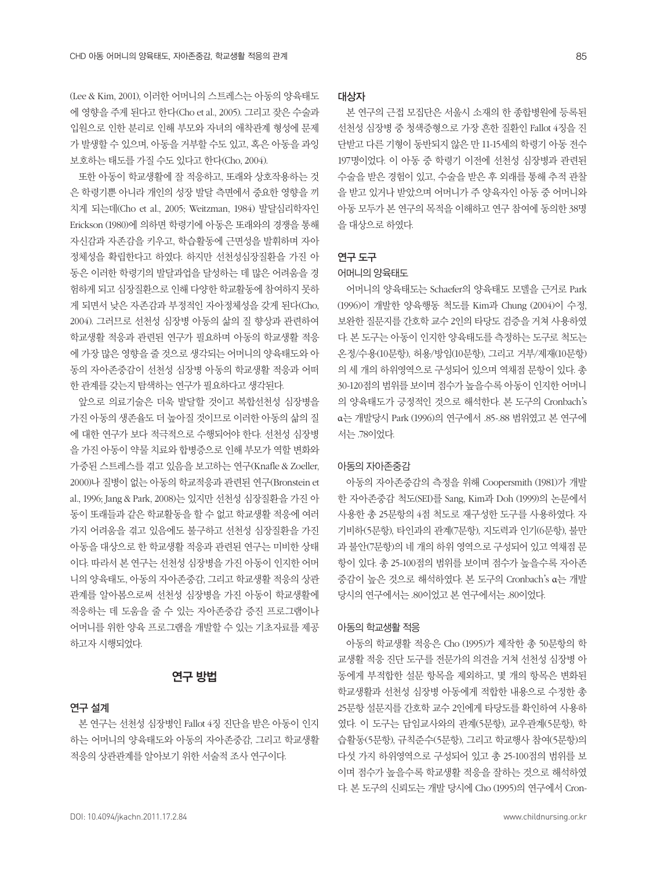(Lee & Kim, 2001), 이러한 어머니의 스트레스는 아동의 양육태도 에 영향을 주게 된다고 한다(Cho et al., 2005). 그리고 잦은 수술과 입원으로 인한 분리로 인해 부모와 자녀의 애착관계 형성에 문제 가 발생할 수 있으며, 아동을 거부할 수도 있고, 혹은 아동을 과잉 보호하는 태도를 가질 수도 있다고 한다(Cho, 2004).

또한 아동이 학교생활에 잘 적응하고, 또래와 상호작용하는 것 은 학령기뿐 아니라 개인의 성장 발달 측면에서 중요한 영향을 끼 치게 되는데(Cho et al., 2005; Weitzman, 1984) 발달심리학자인 Erickson (1980)에 의하면 학령기에 아동은 또래와의 경쟁을 통해 자신감과 자존감을 키우고, 학습활동에 근면성을 발휘하며 자아 정체성을 확립한다고 하였다. 하지만 선천성심장질환을 가진 아 동은 이러한 학령기의 발달과업을 달성하는 데 많은 어려움을 경 험하게 되고 심장질환으로 인해 다양한 학교활동에 참여하지 못하 게 되면서 낮은 자존감과 부정적인 자아정체성을 갖게 된다(Cho, 2004). 그러므로 선천성 심장병 아동의 삶의 질 향상과 관련하여 학교생활 적응과 관련된 연구가 필요하며 아동의 학교생활 적응 에 가장 많은 영향을 줄 것으로 생각되는 어머니의 양육태도와 아 동의 자아존중감이 선천성 심장병 아동의 학교생활 적응과 어떠 한 관계를 갖는지 탐색하는 연구가 필요하다고 생각된다.

앞으로 의료기술은 더욱 발달할 것이고 복합선천성 심장병을 가진 아동의 생존율도 더 높아질 것이므로 이러한 아동의 삶의 질 에 대한 연구가 보다 적극적으로 수행되어야 한다. 선천성 심장병 을 가진 아동이 약물 치료와 합병증으로 인해 부모가 역할 변화와 가중된 스트레스를 겪고 있음을 보고하는 연구(Knafle & Zoeller, 2000)나 질병이 없는 아동의 학교적응과 관련된 연구(Bronstein et al., 1996; Jang & Park, 2008)는 있지만 선천성 심장질환을 가진 아 동이 또래들과 같은 학교활동을 할 수 없고 학교생활 적응에 여러 가지 어려움을 겪고 있음에도 불구하고 선천성 심장질환을 가진 아동을 대상으로 한 학교생활 적응과 관련된 연구는 미비한 상태 이다. 따라서 본 연구는 선천성 심장병을 가진 아동이 인지한 어머 니의 양육태도, 아동의 자아존중감, 그리고 학교생활 적응의 상관 관계를 알아봄으로써 선천성 심장병을 가진 아동이 학교생활에 적응하는 데 도움을 줄 수 있는 자아존중감 증진 프로그램이나 어머니를 위한 양육 프로그램을 개발할 수 있는 기초자료를 제공 하고자 시행되었다.

# 연구 방법

#### 연구 설계

본 연구는 선천성 심장병인 Fallot 4징 진단을 받은 아동이 인지 하는 어머니의 양육태도와 아동의 자아존중감, 그리고 학교생활 적응의 상관관계를 알아보기 위한 서술적 조사 연구이다.

#### 대상자

본 연구의 근접 모집단은 서울시 소재의 한 종합병원에 등록된 선천성 심장병 중 청색증형으로 가장 흔한 질환인 Fallot 4징을 진 단받고 다른 기형이 동반되지 않은 만 11-15세의 학령기 아동 전수 197명이었다. 이 아동 중 학령기 이전에 선천성 심장병과 관련된 수술을 받은 경험이 있고, 수술을 받은 후 외래를 통해 추적 관찰 을 받고 있거나 받았으며 어머니가 주 양육자인 아동 중 어머니와 아동 모두가 본 연구의 목적을 이해하고 연구 참여에 동의한 38명 을 대상으로 하였다.

#### 연구 도구

#### 어머니의 양육태도

어머니의 양육태도는 Schaefer의 양육태도 모델을 근거로 Park (1996)이 개발한 양육행동 척도를 Kim과 Chung (2004)이 수정, 보완한 질문지를 간호학 교수 2인의 타당도 검증을 거쳐 사용하였 다. 본 도구는 아동이 인지한 양육태도를 측정하는 도구로 척도는 온정/수용(10문항), 허용/방임(10문항), 그리고 거부/제재(10문항) 의 세 개의 하위영역으로 구성되어 있으며 역채점 문항이 있다. 총 30-120점의 범위를 보이며 점수가 높을수록 아동이 인지한 어머니 의 양육태도가 긍정적인 것으로 해석한다. 본 도구의 Cronbach's α는 개발당시 Park (1996)의 연구에서 .85-.88 범위였고 본 연구에 서는 .78이었다.

#### 아동의 자아존중감

아동의 자아존중감의 측정을 위해 Coopersmith (1981)가 개발 한 자아존중감 척도(SEI)를 Sang, Kim과 Doh (1999)의 논문에서 사용한 총 25문항의 4점 척도로 재구성한 도구를 사용하였다. 자 기비하(5문항), 타인과의 관계(7문항), 지도력과 인기(6문항), 불만 과 불안(7문항)의 네 개의 하위 영역으로 구성되어 있고 역채점 문 항이 있다. 총 25-100점의 범위를 보이며 점수가 높을수록 자아존 중감이 높은 것으로 해석하였다. 본 도구의 Cronbach's α는 개발 당시의 연구에서는 .80이었고 본 연구에서는 .80이었다.

#### 아동의 학교생활 적응

아동의 학교생활 적응은 Cho (1995)가 제작한 총 50문항의 학 교생활 적응 진단 도구를 전문가의 의견을 거쳐 선천성 심장병 아 동에게 부적합한 설문 항목을 제외하고, 몇 개의 항목은 변화된 학교생활과 선천성 심장병 아동에게 적합한 내용으로 수정한 총 25문항 설문지를 간호학 교수 2인에게 타당도를 확인하여 사용하 였다. 이 도구는 담임교사와의 관계(5문항), 교우관계(5문항), 학 습활동(5문항), 규칙준수(5문항), 그리고 학교행사 참여(5문항)의 다섯 가지 하위영역으로 구성되어 있고 총 25-100점의 범위를 보 이며 점수가 높을수록 학교생활 적응을 잘하는 것으로 해석하였 다. 본 도구의 신뢰도는 개발 당시에 Cho (1995)의 연구에서 Cron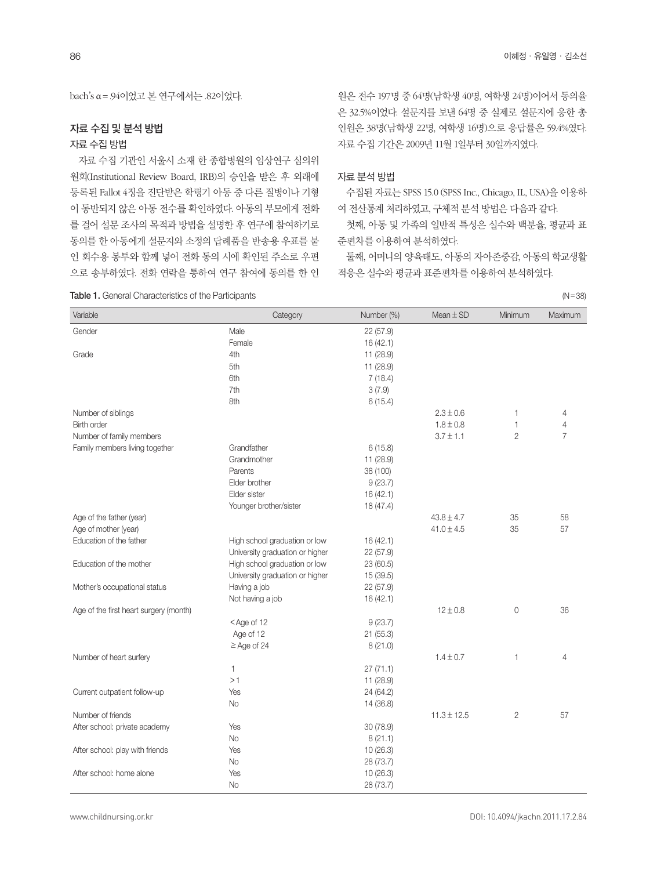bach's α=.94이었고 본 연구에서는 .82이었다.

#### 자료 수집 및 분석 방법

#### 자료 수집 방법

자료 수집 기관인 서울시 소재 한 종합병원의 임상연구 심의위 원회(Institutional Review Board, IRB)의 승인을 받은 후 외래에 등록된 Fallot 4징을 진단받은 학령기 아동 중 다른 질병이나 기형 이 동반되지 않은 아동 전수를 확인하였다. 아동의 부모에게 전화 를 걸어 설문 조사의 목적과 방법을 설명한 후 연구에 참여하기로 동의를 한 아동에게 설문지와 소정의 답례품을 반송용 우표를 붙 인 회수용 봉투와 함께 넣어 전화 동의 시에 확인된 주소로 우편 으로 송부하였다. 전화 연락을 통하여 연구 참여에 동의를 한 인

#### Table 1. General Characteristics of the Participants (N=38) (N=38)

원은 전수 197명 중 64명(남학생 40명, 여학생 24명)이어서 동의율 은 32.5%이었다. 설문지를 보낸 64명 중 실제로 설문지에 응한 총 인원은 38명(남학생 22명, 여학생 16명)으로 응답률은 59.4%였다. 자료 수집 기간은 2009년 11월 1일부터 30일까지였다.

#### 자료 분석 방법

수집된 자료는 SPSS 15.0 (SPSS Inc., Chicago, IL, USA)을 이용하 여 전산통계 처리하였고, 구체적 분석 방법은 다음과 같다.

첫째, 아동 및 가족의 일반적 특성은 실수와 백분율, 평균과 표 준편차를 이용하여 분석하였다.

둘째, 어머니의 양육태도, 아동의 자아존중감, 아동의 학교생활 적응은 실수와 평균과 표준편차를 이용하여 분석하였다.

| Male<br>Gender<br>22(57.9)<br>Female<br>16(42.1)<br>Grade<br>4th<br>11 (28.9)<br>5th<br>11 (28.9)<br>6th<br>7(18.4)<br>7th<br>3(7.9)<br>8th<br>6(15.4)<br>Number of siblings<br>$2.3 \pm 0.6$<br>1<br>4<br>$1.8 \pm 0.8$<br><b>Birth order</b><br>1<br>$\overline{4}$<br>$\overline{7}$<br>Number of family members<br>$3.7 \pm 1.1$<br>$\overline{2}$<br>Family members living together<br>Grandfather<br>6(15.8)<br>Grandmother<br>11 (28.9)<br>38 (100)<br>Parents<br>9(23.7)<br>Elder brother<br>16(42.1)<br>Elder sister<br>Younger brother/sister<br>18 (47.4)<br>Age of the father (year)<br>$43.8 \pm 4.7$<br>35<br>58<br>$41.0 \pm 4.5$<br>Age of mother (year)<br>35<br>57<br>Education of the father<br>High school graduation or low<br>16(42.1)<br>University graduation or higher<br>22 (57.9)<br>High school graduation or low<br>Education of the mother<br>23 (60.5)<br>University graduation or higher<br>15 (39.5)<br>22 (57.9)<br>Mother's occupational status<br>Having a job<br>16(42.1)<br>Not having a job<br>$12 \pm 0.8$<br>$\overline{0}$<br>36<br>Age of the first heart surgery (month)<br><age 12<br="" of="">9(23.7)<br/>Age of 12<br/>21 (55.3)<br/><math>\geq</math> Age of 24<br/>8(21.0)<br/>Number of heart surfery<br/><math>1.4 \pm 0.7</math><br/><math>\mathbf{1}</math><br/><math>\overline{4}</math><br/><math>\mathbf{1}</math><br/>27(71.1)<br/>&gt;1<br/>11 (28.9)<br/>24 (64.2)<br/>Current outpatient follow-up<br/>Yes<br/>14 (36.8)<br/><b>No</b><br/>Number of friends<br/><math>11.3 \pm 12.5</math><br/><math>\overline{2}</math><br/>57<br/>After school: private academy<br/>Yes<br/>30(78.9)<br/><b>No</b><br/>8(21.1)<br/>10(26.3)<br/>After school: play with friends<br/>Yes<br/><b>No</b><br/>28 (73.7)<br/>After school: home alone<br/>Yes<br/>10 (26.3)<br/><b>No</b><br/>28 (73.7)</age> | Variable | Category | Number (%) | Mean $\pm$ SD | Minimum | Maximum |
|---------------------------------------------------------------------------------------------------------------------------------------------------------------------------------------------------------------------------------------------------------------------------------------------------------------------------------------------------------------------------------------------------------------------------------------------------------------------------------------------------------------------------------------------------------------------------------------------------------------------------------------------------------------------------------------------------------------------------------------------------------------------------------------------------------------------------------------------------------------------------------------------------------------------------------------------------------------------------------------------------------------------------------------------------------------------------------------------------------------------------------------------------------------------------------------------------------------------------------------------------------------------------------------------------------------------------------------------------------------------------------------------------------------------------------------------------------------------------------------------------------------------------------------------------------------------------------------------------------------------------------------------------------------------------------------------------------------------------------------------------------------------------------------------------------------------------------------------------------|----------|----------|------------|---------------|---------|---------|
|                                                                                                                                                                                                                                                                                                                                                                                                                                                                                                                                                                                                                                                                                                                                                                                                                                                                                                                                                                                                                                                                                                                                                                                                                                                                                                                                                                                                                                                                                                                                                                                                                                                                                                                                                                                                                                                         |          |          |            |               |         |         |
|                                                                                                                                                                                                                                                                                                                                                                                                                                                                                                                                                                                                                                                                                                                                                                                                                                                                                                                                                                                                                                                                                                                                                                                                                                                                                                                                                                                                                                                                                                                                                                                                                                                                                                                                                                                                                                                         |          |          |            |               |         |         |
|                                                                                                                                                                                                                                                                                                                                                                                                                                                                                                                                                                                                                                                                                                                                                                                                                                                                                                                                                                                                                                                                                                                                                                                                                                                                                                                                                                                                                                                                                                                                                                                                                                                                                                                                                                                                                                                         |          |          |            |               |         |         |
|                                                                                                                                                                                                                                                                                                                                                                                                                                                                                                                                                                                                                                                                                                                                                                                                                                                                                                                                                                                                                                                                                                                                                                                                                                                                                                                                                                                                                                                                                                                                                                                                                                                                                                                                                                                                                                                         |          |          |            |               |         |         |
|                                                                                                                                                                                                                                                                                                                                                                                                                                                                                                                                                                                                                                                                                                                                                                                                                                                                                                                                                                                                                                                                                                                                                                                                                                                                                                                                                                                                                                                                                                                                                                                                                                                                                                                                                                                                                                                         |          |          |            |               |         |         |
|                                                                                                                                                                                                                                                                                                                                                                                                                                                                                                                                                                                                                                                                                                                                                                                                                                                                                                                                                                                                                                                                                                                                                                                                                                                                                                                                                                                                                                                                                                                                                                                                                                                                                                                                                                                                                                                         |          |          |            |               |         |         |
|                                                                                                                                                                                                                                                                                                                                                                                                                                                                                                                                                                                                                                                                                                                                                                                                                                                                                                                                                                                                                                                                                                                                                                                                                                                                                                                                                                                                                                                                                                                                                                                                                                                                                                                                                                                                                                                         |          |          |            |               |         |         |
|                                                                                                                                                                                                                                                                                                                                                                                                                                                                                                                                                                                                                                                                                                                                                                                                                                                                                                                                                                                                                                                                                                                                                                                                                                                                                                                                                                                                                                                                                                                                                                                                                                                                                                                                                                                                                                                         |          |          |            |               |         |         |
|                                                                                                                                                                                                                                                                                                                                                                                                                                                                                                                                                                                                                                                                                                                                                                                                                                                                                                                                                                                                                                                                                                                                                                                                                                                                                                                                                                                                                                                                                                                                                                                                                                                                                                                                                                                                                                                         |          |          |            |               |         |         |
|                                                                                                                                                                                                                                                                                                                                                                                                                                                                                                                                                                                                                                                                                                                                                                                                                                                                                                                                                                                                                                                                                                                                                                                                                                                                                                                                                                                                                                                                                                                                                                                                                                                                                                                                                                                                                                                         |          |          |            |               |         |         |
|                                                                                                                                                                                                                                                                                                                                                                                                                                                                                                                                                                                                                                                                                                                                                                                                                                                                                                                                                                                                                                                                                                                                                                                                                                                                                                                                                                                                                                                                                                                                                                                                                                                                                                                                                                                                                                                         |          |          |            |               |         |         |
|                                                                                                                                                                                                                                                                                                                                                                                                                                                                                                                                                                                                                                                                                                                                                                                                                                                                                                                                                                                                                                                                                                                                                                                                                                                                                                                                                                                                                                                                                                                                                                                                                                                                                                                                                                                                                                                         |          |          |            |               |         |         |
|                                                                                                                                                                                                                                                                                                                                                                                                                                                                                                                                                                                                                                                                                                                                                                                                                                                                                                                                                                                                                                                                                                                                                                                                                                                                                                                                                                                                                                                                                                                                                                                                                                                                                                                                                                                                                                                         |          |          |            |               |         |         |
|                                                                                                                                                                                                                                                                                                                                                                                                                                                                                                                                                                                                                                                                                                                                                                                                                                                                                                                                                                                                                                                                                                                                                                                                                                                                                                                                                                                                                                                                                                                                                                                                                                                                                                                                                                                                                                                         |          |          |            |               |         |         |
|                                                                                                                                                                                                                                                                                                                                                                                                                                                                                                                                                                                                                                                                                                                                                                                                                                                                                                                                                                                                                                                                                                                                                                                                                                                                                                                                                                                                                                                                                                                                                                                                                                                                                                                                                                                                                                                         |          |          |            |               |         |         |
|                                                                                                                                                                                                                                                                                                                                                                                                                                                                                                                                                                                                                                                                                                                                                                                                                                                                                                                                                                                                                                                                                                                                                                                                                                                                                                                                                                                                                                                                                                                                                                                                                                                                                                                                                                                                                                                         |          |          |            |               |         |         |
|                                                                                                                                                                                                                                                                                                                                                                                                                                                                                                                                                                                                                                                                                                                                                                                                                                                                                                                                                                                                                                                                                                                                                                                                                                                                                                                                                                                                                                                                                                                                                                                                                                                                                                                                                                                                                                                         |          |          |            |               |         |         |
|                                                                                                                                                                                                                                                                                                                                                                                                                                                                                                                                                                                                                                                                                                                                                                                                                                                                                                                                                                                                                                                                                                                                                                                                                                                                                                                                                                                                                                                                                                                                                                                                                                                                                                                                                                                                                                                         |          |          |            |               |         |         |
|                                                                                                                                                                                                                                                                                                                                                                                                                                                                                                                                                                                                                                                                                                                                                                                                                                                                                                                                                                                                                                                                                                                                                                                                                                                                                                                                                                                                                                                                                                                                                                                                                                                                                                                                                                                                                                                         |          |          |            |               |         |         |
|                                                                                                                                                                                                                                                                                                                                                                                                                                                                                                                                                                                                                                                                                                                                                                                                                                                                                                                                                                                                                                                                                                                                                                                                                                                                                                                                                                                                                                                                                                                                                                                                                                                                                                                                                                                                                                                         |          |          |            |               |         |         |
|                                                                                                                                                                                                                                                                                                                                                                                                                                                                                                                                                                                                                                                                                                                                                                                                                                                                                                                                                                                                                                                                                                                                                                                                                                                                                                                                                                                                                                                                                                                                                                                                                                                                                                                                                                                                                                                         |          |          |            |               |         |         |
|                                                                                                                                                                                                                                                                                                                                                                                                                                                                                                                                                                                                                                                                                                                                                                                                                                                                                                                                                                                                                                                                                                                                                                                                                                                                                                                                                                                                                                                                                                                                                                                                                                                                                                                                                                                                                                                         |          |          |            |               |         |         |
|                                                                                                                                                                                                                                                                                                                                                                                                                                                                                                                                                                                                                                                                                                                                                                                                                                                                                                                                                                                                                                                                                                                                                                                                                                                                                                                                                                                                                                                                                                                                                                                                                                                                                                                                                                                                                                                         |          |          |            |               |         |         |
|                                                                                                                                                                                                                                                                                                                                                                                                                                                                                                                                                                                                                                                                                                                                                                                                                                                                                                                                                                                                                                                                                                                                                                                                                                                                                                                                                                                                                                                                                                                                                                                                                                                                                                                                                                                                                                                         |          |          |            |               |         |         |
|                                                                                                                                                                                                                                                                                                                                                                                                                                                                                                                                                                                                                                                                                                                                                                                                                                                                                                                                                                                                                                                                                                                                                                                                                                                                                                                                                                                                                                                                                                                                                                                                                                                                                                                                                                                                                                                         |          |          |            |               |         |         |
|                                                                                                                                                                                                                                                                                                                                                                                                                                                                                                                                                                                                                                                                                                                                                                                                                                                                                                                                                                                                                                                                                                                                                                                                                                                                                                                                                                                                                                                                                                                                                                                                                                                                                                                                                                                                                                                         |          |          |            |               |         |         |
|                                                                                                                                                                                                                                                                                                                                                                                                                                                                                                                                                                                                                                                                                                                                                                                                                                                                                                                                                                                                                                                                                                                                                                                                                                                                                                                                                                                                                                                                                                                                                                                                                                                                                                                                                                                                                                                         |          |          |            |               |         |         |
|                                                                                                                                                                                                                                                                                                                                                                                                                                                                                                                                                                                                                                                                                                                                                                                                                                                                                                                                                                                                                                                                                                                                                                                                                                                                                                                                                                                                                                                                                                                                                                                                                                                                                                                                                                                                                                                         |          |          |            |               |         |         |
|                                                                                                                                                                                                                                                                                                                                                                                                                                                                                                                                                                                                                                                                                                                                                                                                                                                                                                                                                                                                                                                                                                                                                                                                                                                                                                                                                                                                                                                                                                                                                                                                                                                                                                                                                                                                                                                         |          |          |            |               |         |         |
|                                                                                                                                                                                                                                                                                                                                                                                                                                                                                                                                                                                                                                                                                                                                                                                                                                                                                                                                                                                                                                                                                                                                                                                                                                                                                                                                                                                                                                                                                                                                                                                                                                                                                                                                                                                                                                                         |          |          |            |               |         |         |
|                                                                                                                                                                                                                                                                                                                                                                                                                                                                                                                                                                                                                                                                                                                                                                                                                                                                                                                                                                                                                                                                                                                                                                                                                                                                                                                                                                                                                                                                                                                                                                                                                                                                                                                                                                                                                                                         |          |          |            |               |         |         |
|                                                                                                                                                                                                                                                                                                                                                                                                                                                                                                                                                                                                                                                                                                                                                                                                                                                                                                                                                                                                                                                                                                                                                                                                                                                                                                                                                                                                                                                                                                                                                                                                                                                                                                                                                                                                                                                         |          |          |            |               |         |         |
|                                                                                                                                                                                                                                                                                                                                                                                                                                                                                                                                                                                                                                                                                                                                                                                                                                                                                                                                                                                                                                                                                                                                                                                                                                                                                                                                                                                                                                                                                                                                                                                                                                                                                                                                                                                                                                                         |          |          |            |               |         |         |
|                                                                                                                                                                                                                                                                                                                                                                                                                                                                                                                                                                                                                                                                                                                                                                                                                                                                                                                                                                                                                                                                                                                                                                                                                                                                                                                                                                                                                                                                                                                                                                                                                                                                                                                                                                                                                                                         |          |          |            |               |         |         |
|                                                                                                                                                                                                                                                                                                                                                                                                                                                                                                                                                                                                                                                                                                                                                                                                                                                                                                                                                                                                                                                                                                                                                                                                                                                                                                                                                                                                                                                                                                                                                                                                                                                                                                                                                                                                                                                         |          |          |            |               |         |         |
|                                                                                                                                                                                                                                                                                                                                                                                                                                                                                                                                                                                                                                                                                                                                                                                                                                                                                                                                                                                                                                                                                                                                                                                                                                                                                                                                                                                                                                                                                                                                                                                                                                                                                                                                                                                                                                                         |          |          |            |               |         |         |
|                                                                                                                                                                                                                                                                                                                                                                                                                                                                                                                                                                                                                                                                                                                                                                                                                                                                                                                                                                                                                                                                                                                                                                                                                                                                                                                                                                                                                                                                                                                                                                                                                                                                                                                                                                                                                                                         |          |          |            |               |         |         |
|                                                                                                                                                                                                                                                                                                                                                                                                                                                                                                                                                                                                                                                                                                                                                                                                                                                                                                                                                                                                                                                                                                                                                                                                                                                                                                                                                                                                                                                                                                                                                                                                                                                                                                                                                                                                                                                         |          |          |            |               |         |         |
|                                                                                                                                                                                                                                                                                                                                                                                                                                                                                                                                                                                                                                                                                                                                                                                                                                                                                                                                                                                                                                                                                                                                                                                                                                                                                                                                                                                                                                                                                                                                                                                                                                                                                                                                                                                                                                                         |          |          |            |               |         |         |
|                                                                                                                                                                                                                                                                                                                                                                                                                                                                                                                                                                                                                                                                                                                                                                                                                                                                                                                                                                                                                                                                                                                                                                                                                                                                                                                                                                                                                                                                                                                                                                                                                                                                                                                                                                                                                                                         |          |          |            |               |         |         |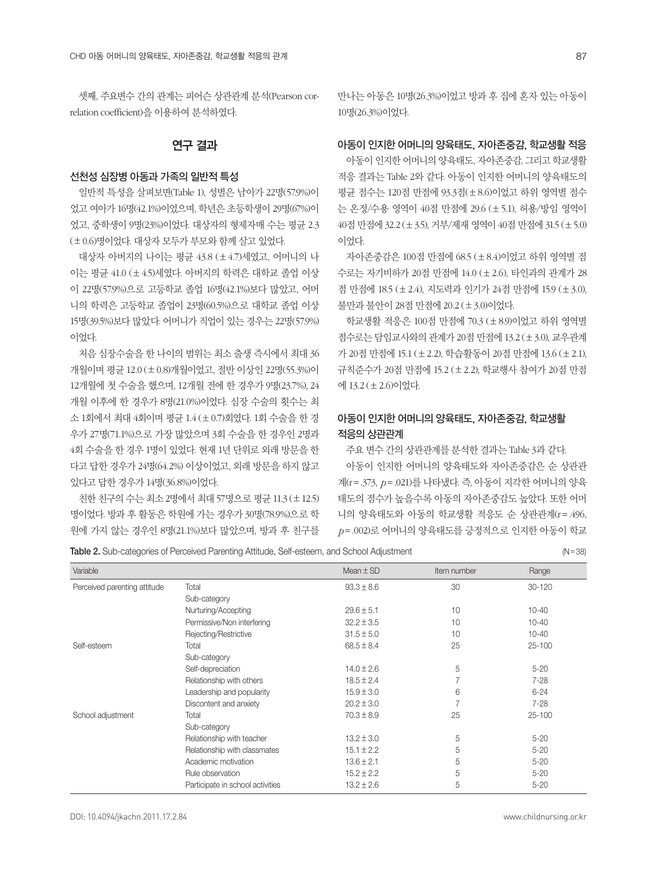셋째, 주요변수 간의 관계는 피어슨 상관관계 분석(Pearson correlation coefficient)을 이용하여 분석하였다.

## 연구 결과

#### 선천성 심장병 아동과 가족의 일반적 특성

일반적 특성을 살펴보면(Table 1), 성별은 남아가 22명(57.9%)이 었고 여아가 16명(42.1%)이었으며, 학년은 초등학생이 29명(67%)이 었고, 중학생이 9명(23%)이었다. 대상자의 형제자매 수는 평균 2.3 (±0.6)명이었다. 대상자 모두가 부모와 함께 살고 있었다.

대상자 아버지의 나이는 평균 43.8 (±4.7)세였고, 어머니의 나 이는 평균 41.0 (±4.5)세였다. 아버지의 학력은 대학교 졸업 이상 이 22명(57.9%)으로 고등학교 졸업 16명(42.1%)보다 많았고, 어머 니의 학력은 고등학교 졸업이 23명(60.5%)으로 대학교 졸업 이상 15명(39.5%)보다 많았다. 어머니가 직업이 있는 경우는 22명(57.9%) 이었다.

처음 심장수술을 한 나이의 범위는 최소 출생 즉시에서 최대 36 개월이며 평균 12.0 (±0.8)개월이었고, 절반 이상인 22명(55.3%)이 12개월에 첫 수술을 했으며, 12개월 전에 한 경우가 9명(23.7%), 24 개월 이후에 한 경우가 8명(21.0%)이었다. 심장 수술의 횟수는 최 소 1회에서 최대 4회이며 평균 1.4 (±0.7)회였다. 1회 수술을 한 경 우가 27명(71.1%)으로 가장 많았으며 3회 수술을 한 경우인 2명과 4회 수술을 한 경우 1명이 있었다. 현재 1년 단위로 외래 방문을 한 다고 답한 경우가 24명(64.2%) 이상이었고, 외래 방문을 하지 않고 있다고 답한 경우가 14명(36.8%)이었다.

친한 친구의 수는 최소 2명에서 최대 57명으로 평균 11.3 (±12.5) 명이었다. 방과 후 활동은 학원에 가는 경우가 30명(78.9%)으로 학 원에 가지 않는 경우인 8명(21.1%)보다 많았으며, 방과 후 친구를

만나는 아동은 10명(26.3%)이었고 방과 후 집에 혼자 있는 아동이 10명(26.3%)이었다.

#### 아동이 인지한 어머니의 양육태도, 자아존중감, 학교생활 적응

아동이 인지한 어머니의 양육태도, 자아존중감, 그리고 학교생활 적응 결과는 Table 2와 같다. 아동이 인지한 어머니의 양육태도의 평균 점수는 120점 만점에 93.3점(±8.6)이었고 하위 영역별 점수 는 온정/수용 영역이 40점 만점에 29.6 (±5.1), 허용/방임 영역이 40점 만점에 32.2 (±3.5), 거부/제재 영역이 40점 만점에 31.5 (±5.0) 이었다.

자아존중감은 100점 만점에 68.5 (±8.4)이었고 하위 영역별 점 수로는 자기비하가 20점 만점에 14.0 (±2.6), 타인과의 관계가 28 점 만점에 18.5 (±2.4), 지도력과 인기가 24점 만점에 15.9 (±3.0), 불만과 불안이 28점 만점에 20.2 (±3.0)이었다.

학교생활 적응은 100점 만점에 70.3 (±8.9)이었고 하위 영역별 점수로는 담임교사와의 관계가 20점 만점에 13.2 (±3.0), 교우관계 가 20점 만점에 15.1 (±2.2), 학습활동이 20점 만점에 13.6 (±2.1), 규칙준수가 20점 만점에 15.2 (±2.2), 학교행사 참여가 20점 만점 에 13.2 (±2.6)이었다.

# 아동이 인지한 어머니의 양육태도, 자아존중감, 학교생활 적응의 상관관계

주요 변수 간의 상관관계를 분석한 결과는 Table 3과 같다.

아동이 인지한 어머니의 양육태도와 자아존중감은 순 상관관 계(r=.373, *p*=.021)를 나타냈다. 즉, 아동이 지각한 어머니의 양육 태도의 점수가 높을수록 아동의 자아존중감도 높았다. 또한 어머 니의 양육태도와 아동의 학교생활 적응도 순 상관관계(r=.496, *p*=.002)로 어머니의 양육태도를 긍정적으로 인지한 아동이 학교

Table 2. Sub-categories of Perceived Parenting Attitude, Self-esteem, and School Adjustment (N=38)

| Variable                     |                                  | Mean $\pm$ SD  | Item number    | Range      |
|------------------------------|----------------------------------|----------------|----------------|------------|
| Perceived parenting attitude | Total                            | $93.3 \pm 8.6$ | 30             | $30 - 120$ |
|                              | Sub-category                     |                |                |            |
|                              | Nurturing/Accepting              | $29.6 \pm 5.1$ | 10             | $10 - 40$  |
|                              | Permissive/Non interfering       | $32.2 \pm 3.5$ | 10             | $10 - 40$  |
|                              | Rejecting/Restrictive            | $31.5 \pm 5.0$ | 10             | $10 - 40$  |
| Self-esteem                  | Total                            | $68.5 \pm 8.4$ | 25             | $25 - 100$ |
|                              | Sub-category                     |                |                |            |
|                              | Self-depreciation                | $14.0 \pm 2.6$ | 5              | $5 - 20$   |
|                              | Relationship with others         | $18.5 \pm 2.4$ | 7              | $7 - 28$   |
|                              | Leadership and popularity        | $15.9 \pm 3.0$ | 6              | $6 - 24$   |
|                              | Discontent and anxiety           | $20.2 \pm 3.0$ | $\overline{7}$ | $7 - 28$   |
| School adjustment            | Total                            | $70.3 \pm 8.9$ | 25             | $25 - 100$ |
|                              | Sub-category                     |                |                |            |
|                              | Relationship with teacher        | $13.2 \pm 3.0$ | 5              | $5 - 20$   |
|                              | Relationship with classmates     | $15.1 \pm 2.2$ | 5              | $5 - 20$   |
|                              | Academic motivation              | $13.6 \pm 2.1$ | 5              | $5 - 20$   |
|                              | Rule observation                 | $15.2 \pm 2.2$ | 5              | $5 - 20$   |
|                              | Participate in school activities | $13.2 \pm 2.6$ | 5              | $5 - 20$   |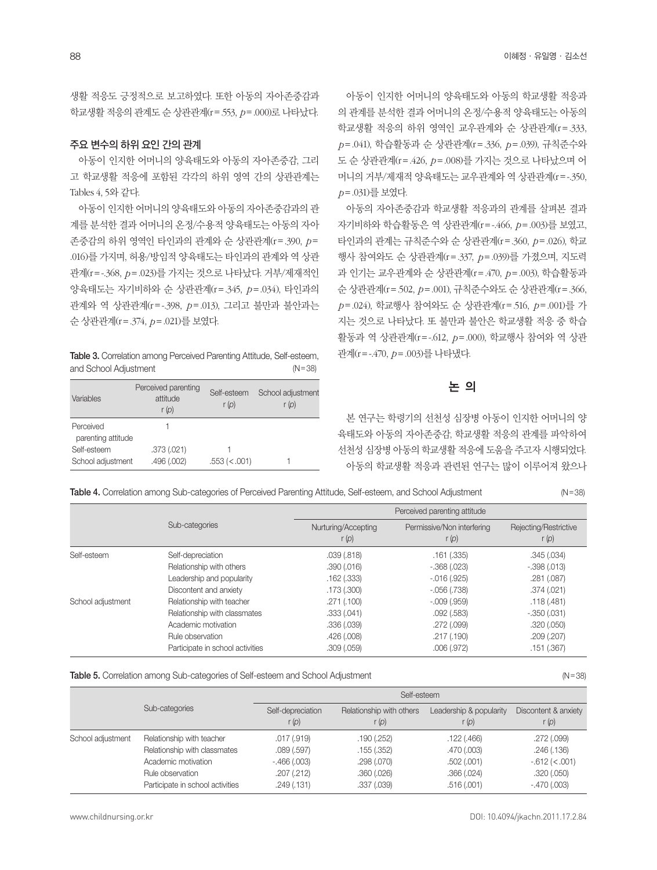생활 적응도 긍정적으로 보고하였다. 또한 아동의 자아존중감과 학교생활 적응의 관계도 순 상관관계(r=.553, *p*=.000)로 나타났다.

#### 주요 변수의 하위 요인 간의 관계

아동이 인지한 어머니의 양육태도와 아동의 자아존중감, 그리 고 학교생활 적응에 포함된 각각의 하위 영역 간의 상관관계는 Tables 4, 5와 같다.

아동이 인지한 어머니의 양육태도와 아동의 자아존중감과의 관 계를 분석한 결과 어머니의 온정/수용적 양육태도는 아동의 자아 존중감의 하위 영역인 타인과의 관계와 순 상관관계(r=.390, *p*= .016)를 가지며, 허용/방임적 양육태도는 타인과의 관계와 역 상관 관계(r=-.368, *p*=.023)를 가지는 것으로 나타났다. 거부/제재적인 양육태도는 자기비하와 순 상관관계(r=.345, *p*=.034), 타인과의 관계와 역 상관관계(r=-.398, *p*=.013), 그리고 불만과 불안과는 순 상관관계(r=.374, *p*=.021)를 보였다.

Table 3. Correlation among Perceived Parenting Attitude, Self-esteem, and School Adjustment (N=38)

| Variables                       | Perceived parenting<br>attitude<br>r(p) | Self-esteem<br>r(p) | School adjustment<br>r (p) |
|---------------------------------|-----------------------------------------|---------------------|----------------------------|
| Perceived<br>parenting attitude |                                         |                     |                            |
| Self-esteem                     | .373 (.021)                             |                     |                            |
| School adjustment               | .496 (.002)                             | .553 (< .001)       |                            |

아동이 인지한 어머니의 양육태도와 아동의 학교생활 적응과 의 관계를 분석한 결과 어머니의 온정/수용적 양육태도는 아동의 학교생활 적응의 하위 영역인 교우관계와 순 상관관계(r=.333, *p*=.041), 학습활동과 순 상관관계(r=.336, *p*=.039), 규칙준수와 도 순 상관관계(r=.426, *p*=.008)를 가지는 것으로 나타났으며 어 머니의 거부/제재적 양육태도는 교우관계와 역 상관관계(r=-.350, *p*=.031)를 보였다.

아동의 자아존중감과 학교생활 적응과의 관계를 살펴본 결과 자기비하와 학습활동은 역 상관관계(r=-.466, *p*=.003)를 보였고, 타인과의 관계는 규칙준수와 순 상관관계(r=.360, *p*=.026), 학교 행사 참여와도 순 상관관계(r=.337, *p*=.039)를 가졌으며, 지도력 과 인기는 교우관계와 순 상관관계(r=.470, *p*=.003), 학습활동과 순 상관관계(r=.502, *p*=.001), 규칙준수와도 순 상관관계(r=.366, *p*=.024), 학교행사 참여와도 순 상관관계(r=.516, *p*=.001)를 가 지는 것으로 나타났다. 또 불만과 불안은 학교생활 적응 중 학습 활동과 역 상관관계(r=-.612, *p*=.000), 학교행사 참여와 역 상관 관계(r=-.470, *p*=.003)를 나타냈다.

# 논 의

본 연구는 학령기의 선천성 심장병 아동이 인지한 어머니의 양 육태도와 아동의 자아존중감, 학교생활 적응의 관계를 파악하여 선천성 심장병 아동의 학교생활 적응에 도움을 주고자 시행되었다. 아동의 학교생활 적응과 관련된 연구는 많이 이루어져 왔으나

Table 4. Correlation among Sub-categories of Perceived Parenting Attitude, Self-esteem, and School Adjustment (N=38)

|                   |                                  | Perceived parenting attitude   |                                       |                                  |  |
|-------------------|----------------------------------|--------------------------------|---------------------------------------|----------------------------------|--|
|                   | Sub-categories                   | Nurturing/Accepting<br>r $(p)$ | Permissive/Non interfering<br>r $(p)$ | Rejecting/Restrictive<br>r $(p)$ |  |
| Self-esteem       | Self-depreciation                | .039(.818)                     | .161(.335)                            | .345(.034)                       |  |
|                   | Relationship with others         | .390(.016)                     | $-.368(.023)$                         | $-.398(.013)$                    |  |
|                   | Leadership and popularity        | $.162$ $(.333)$                | $-0.016(0.925)$                       | .281 (.087)                      |  |
|                   | Discontent and anxiety           | .173 (.300)                    | $-.056(.738)$                         | .374(.021)                       |  |
| School adjustment | Relationship with teacher        | .271(.100)                     | $-.009(.959)$                         | .118(.481)                       |  |
|                   | Relationship with classmates     | .333(.041)                     | .092(.583)                            | $-.350(.031)$                    |  |
|                   | Academic motivation              | .336 (.039)                    | .272 (.099)                           | .320(.050)                       |  |
|                   | Rule observation                 | .426 (.008)                    | .217 (.190)                           | .209(.207)                       |  |
|                   | Participate in school activities | .309(.059)                     | .006(.972)                            | .151(.367)                       |  |

Table 5. Correlation among Sub-categories of Self-esteem and School Adjustment (N=38)

|                   |                                  | Self-esteem               |                                   |                                  |                               |
|-------------------|----------------------------------|---------------------------|-----------------------------------|----------------------------------|-------------------------------|
|                   | Sub-categories                   | Self-depreciation<br>r(p) | Relationship with others<br>r (p) | Leadership & popularity<br>r (p) | Discontent & anxiety<br>r (p) |
| School adjustment | Relationship with teacher        | .017 (.919)               | .190(.252)                        | .122(.466)                       | .272 (.099)                   |
|                   | Relationship with classmates     | .089(.597)                | .155(.352)                        | .470 (.003)                      | .246(.136)                    |
|                   | Academic motivation              | $-.466(.003)$             | .298(.070)                        | .502(.001)                       | $-0.612$ ( $< 0.001$ )        |
|                   | Rule observation                 | .207(.212)                | .360(.026)                        | .366(.024)                       | .320(.050)                    |
|                   | Participate in school activities | .249(.131)                | .337 (.039)                       | .516(.001)                       | $-.470(.003)$                 |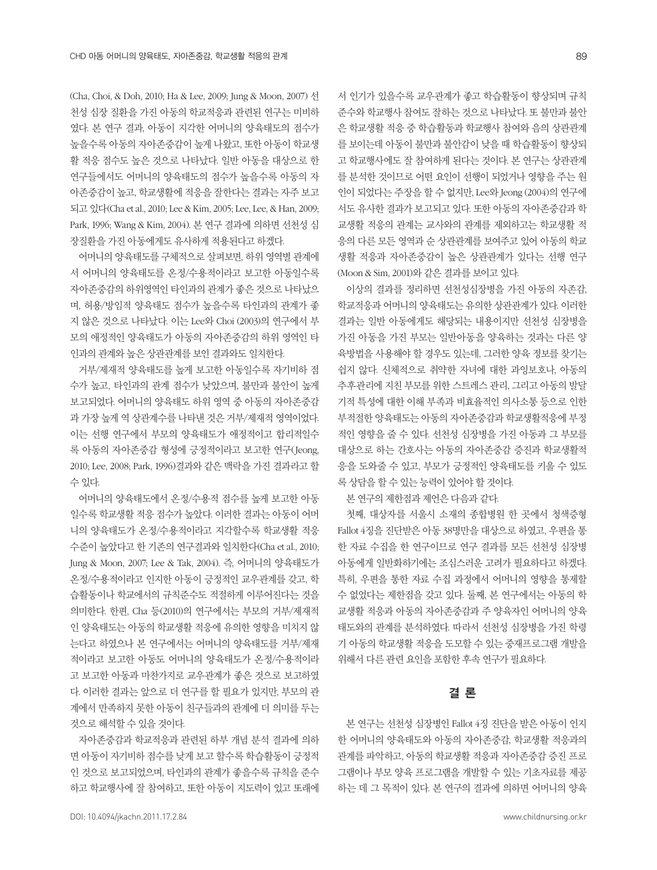(Cha, Choi, & Doh, 2010; Ha & Lee, 2009; Jung & Moon, 2007) 선 천성 심장 질환을 가진 아동의 학교적응과 관련된 연구는 미비하 였다. 본 연구 결과, 아동이 지각한 어머니의 양육태도의 점수가 높을수록 아동의 자아존중감이 높게 나왔고, 또한 아동이 학교생 활 적응 점수도 높은 것으로 나타났다. 일반 아동을 대상으로 한 연구들에서도 어머니의 양육태도의 점수가 높을수록 아동의 자 아존중감이 높고, 학교생활에 적응을 잘한다는 결과는 자주 보고 되고 있다(Cha et al., 2010; Lee & Kim, 2005; Lee, Lee, & Han, 2009; Park, 1996; Wang & Kim, 2004). 본 연구 결과에 의하면 선천성 심 장질환을 가진 아동에게도 유사하게 적용된다고 하겠다.

어머니의 양육태도를 구체적으로 살펴보면, 하위 영역별 관계에 서 어머니의 양육태도를 온정/수용적이라고 보고한 아동일수록 자아존중감의 하위영역인 타인과의 관계가 좋은 것으로 나타났으 며, 허용/방임적 양육태도 점수가 높을수록 타인과의 관계가 좋 지 않은 것으로 나타났다. 이는 Lee와 Choi (2003)의 연구에서 부 모의 애정적인 양육태도가 아동의 자아존중감의 하위 영역인 타 인과의 관계와 높은 상관관계를 보인 결과와도 일치한다.

거부/제재적 양육태도를 높게 보고한 아동일수록 자기비하 점 수가 높고, 타인과의 관계 점수가 낮았으며, 불만과 불안이 높게 보고되었다. 어머니의 양육태도 하위 영역 중 아동의 자아존중감 과 가장 높게 역 상관계수를 나타낸 것은 거부/제재적 영역이었다. 이는 선행 연구에서 부모의 양육태도가 애정적이고 합리적일수 록 아동의 자아존중감 형성에 긍정적이라고 보고한 연구(Jeong, 2010; Lee, 2008; Park, 1996)결과와 같은 맥락을 가진 결과라고 할 수 있다.

어머니의 양육태도에서 온정/수용적 점수를 높게 보고한 아동 일수록 학교생활 적응 점수가 높았다. 이러한 결과는 아동이 어머 니의 양육태도가 온정/수용적이라고 지각할수록 학교생활 적응 수준이 높았다고 한 기존의 연구결과와 일치한다(Cha et al., 2010; Jung & Moon, 2007; Lee & Tak, 2004). 즉, 어머니의 양육태도가 온정/수용적이라고 인지한 아동이 긍정적인 교우관계를 갖고, 학 습활동이나 학교에서의 규칙준수도 적절하게 이루어진다는 것을 의미한다. 한편, Cha 등(2010)의 연구에서는 부모의 거부/제재적 인 양육태도는 아동의 학교생활 적응에 유의한 영향을 미치지 않 는다고 하였으나 본 연구에서는 어머니의 양육태도를 거부/제재 적이라고 보고한 아동도 어머니의 양육태도가 온정/수용적이라 고 보고한 아동과 마찬가지로 교우관계가 좋은 것으로 보고하였 다. 이러한 결과는 앞으로 더 연구를 할 필요가 있지만, 부모의 관 계에서 만족하지 못한 아동이 친구들과의 관계에 더 의미를 두는 것으로 해석할 수 있을 것이다.

자아존중감과 학교적응과 관련된 하부 개념 분석 결과에 의하 면 아동이 자기비하 점수를 낮게 보고 할수록 학습활동이 긍정적 인 것으로 보고되었으며, 타인과의 관계가 좋을수록 규칙을 준수 하고 학교행사에 잘 참여하고, 또한 아동이 지도력이 있고 또래에 서 인기가 있을수록 교우관계가 좋고 학습활동이 향상되며 규칙 준수와 학교행사 참여도 잘하는 것으로 나타났다. 또 불만과 불안 은 학교생활 적응 중 학습활동과 학교행사 참여와 음의 상관관계 를 보이는데 아동이 불만과 불안감이 낮을 때 학습활동이 향상되 고 학교행사에도 잘 참여하게 된다는 것이다. 본 연구는 상관관계 를 분석한 것이므로 어떤 요인이 선행이 되었거나 영향을 주는 원 인이 되었다는 주장을 할 수 없지만, Lee와 Jeong (2004)의 연구에 서도 유사한 결과가 보고되고 있다. 또한 아동의 자아존중감과 학 교생활 적응의 관계는 교사와의 관계를 제외하고는 학교생활 적 응의 다른 모든 영역과 순 상관관계를 보여주고 있어 아동의 학교 생활 적응과 자아존중감이 높은 상관관계가 있다는 선행 연구 (Moon & Sim, 2001)와 같은 결과를 보이고 있다.

이상의 결과를 정리하면 선천성심장병을 가진 아동의 자존감, 학교적응과 어머니의 양육태도는 유의한 상관관계가 있다. 이러한 결과는 일반 아동에게도 해당되는 내용이지만 선천성 심장병을 가진 아동을 가진 부모는 일반아동을 양육하는 것과는 다른 양 육방법을 사용해야 할 경우도 있는데, 그러한 양육 정보를 찾기는 쉽지 않다. 신체적으로 취약한 자녀에 대한 과잉보호나, 아동의 추후관리에 지친 부모를 위한 스트레스 관리, 그리고 아동의 발달 기적 특성에 대한 이해 부족과 비효율적인 의사소통 등으로 인한 부적절한 양육태도는 아동의 자아존중감과 학교생활적응에 부정 적인 영향을 줄 수 있다. 선천성 심장병을 가진 아동과 그 부모를 대상으로 하는 간호사는 아동의 자아존중감 증진과 학교생활적 응을 도와줄 수 있고, 부모가 긍정적인 양육태도를 키울 수 있도 록 상담을 할 수 있는 능력이 있어야 할 것이다.

본 연구의 제한점과 제언은 다음과 같다.

첫째, 대상자를 서울시 소재의 종합병원 한 곳에서 청색증형 Fallot 4징을 진단받은 아동 38명만을 대상으로 하였고, 우편을 통 한 자료 수집을 한 연구이므로 연구 결과를 모든 선천성 심장병 아동에게 일반화하기에는 조심스러운 고려가 필요하다고 하겠다. 특히, 우편을 통한 자료 수집 과정에서 어머니의 영향을 통제할 수 없었다는 제한점을 갖고 있다. 둘째, 본 연구에서는 아동의 학 교생활 적응과 아동의 자아존중감과 주 양육자인 어머니의 양육 태도와의 관계를 분석하였다. 따라서 선천성 심장병을 가진 학령 기 아동의 학교생활 적응을 도모할 수 있는 중재프로그램 개발을 위해서 다른 관련 요인을 포함한 후속 연구가 필요하다.

## 결 론

본 연구는 선천성 심장병인 Fallot 4징 진단을 받은 아동이 인지 한 어머니의 양육태도와 아동의 자아존중감, 학교생활 적응과의 관계를 파악하고, 아동의 학교생활 적응과 자아존중감 증진 프로 그램이나 부모 양육 프로그램을 개발할 수 있는 기초자료를 제공 하는 데 그 목적이 있다. 본 연구의 결과에 의하면 어머니의 양육